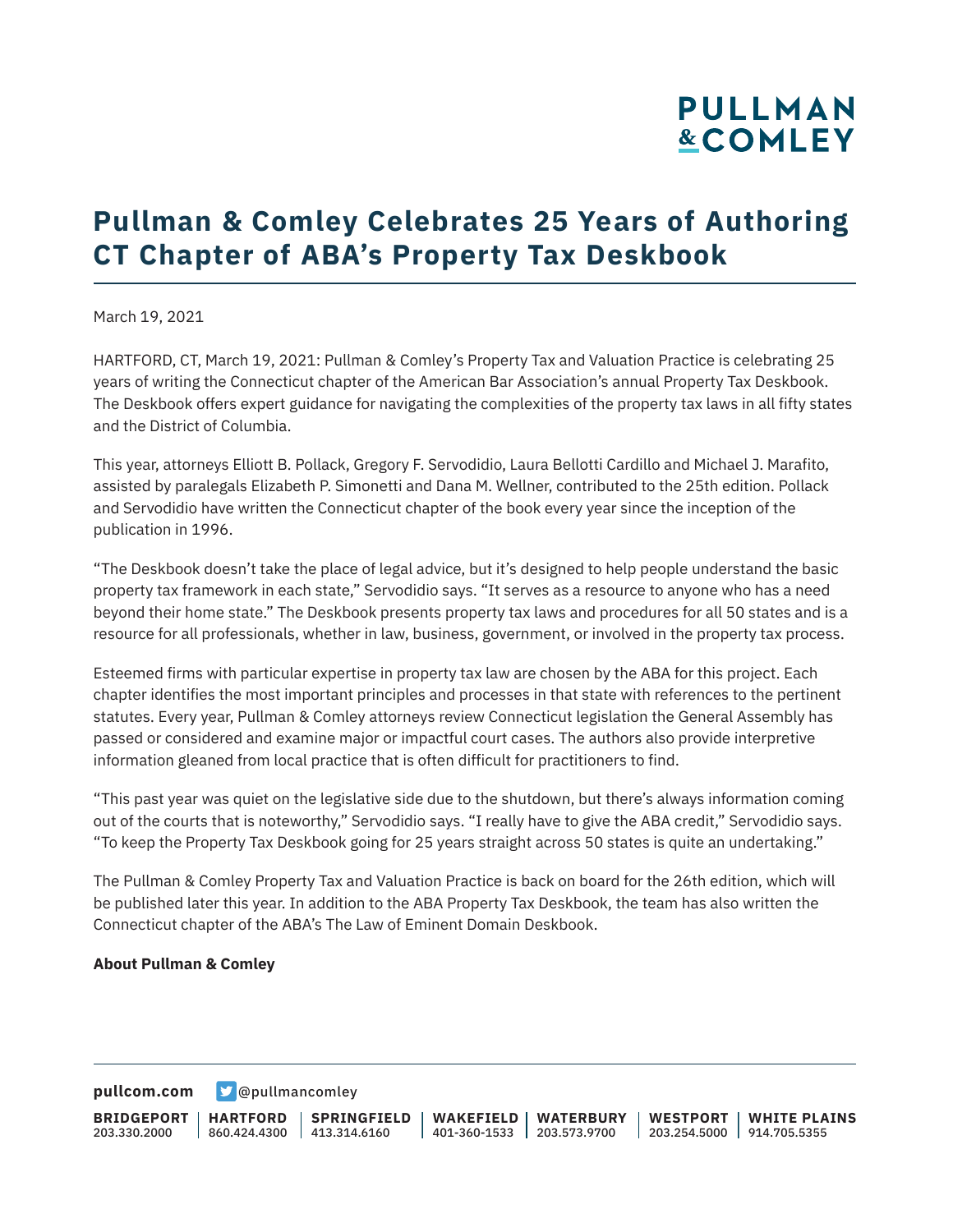# **PULLMAN &COMLEY**

### **Pullman & Comley Celebrates 25 Years of Authoring CT Chapter of ABA's Property Tax Deskbook**

March 19, 2021

HARTFORD, CT, March 19, 2021: Pullman & Comley's Property Tax and Valuation Practice is celebrating 25 years of writing the Connecticut chapter of the American Bar Association's annual Property Tax Deskbook. The Deskbook offers expert guidance for navigating the complexities of the property tax laws in all fifty states and the District of Columbia.

This year, attorneys Elliott B. Pollack, Gregory F. Servodidio, Laura Bellotti Cardillo and Michael J. Marafito, assisted by paralegals Elizabeth P. Simonetti and Dana M. Wellner, contributed to the 25th edition. Pollack and Servodidio have written the Connecticut chapter of the book every year since the inception of the publication in 1996.

"The Deskbook doesn't take the place of legal advice, but it's designed to help people understand the basic property tax framework in each state," Servodidio says. "It serves as a resource to anyone who has a need beyond their home state." The Deskbook presents property tax laws and procedures for all 50 states and is a resource for all professionals, whether in law, business, government, or involved in the property tax process.

Esteemed firms with particular expertise in property tax law are chosen by the ABA for this project. Each chapter identifies the most important principles and processes in that state with references to the pertinent statutes. Every year, Pullman & Comley attorneys review Connecticut legislation the General Assembly has passed or considered and examine major or impactful court cases. The authors also provide interpretive information gleaned from local practice that is often difficult for practitioners to find.

"This past year was quiet on the legislative side due to the shutdown, but there's always information coming out of the courts that is noteworthy," Servodidio says. "I really have to give the ABA credit," Servodidio says. "To keep the Property Tax Deskbook going for 25 years straight across 50 states is quite an undertaking."

The Pullman & Comley Property Tax and Valuation Practice is back on board for the 26th edition, which will be published later this year. In addition to the ABA Property Tax Deskbook, the team has also written the Connecticut chapter of the ABA's The Law of Eminent Domain Deskbook.

#### **About Pullman & Comley**

**[pullcom.com](https://www.pullcom.com) g** [@pullmancomley](https://twitter.com/PullmanComley)